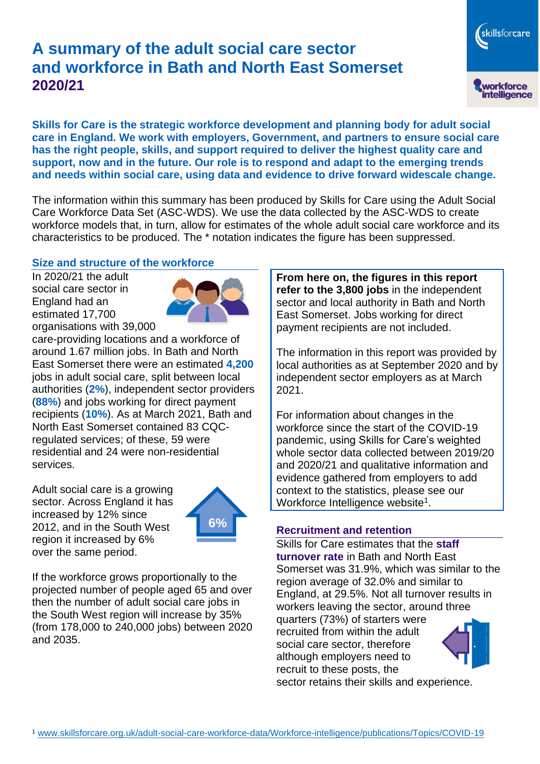# **A summary of the adult social care sector and workforce in Bath and North East Somerset 2020/21**

**Skills for Care is the strategic workforce development and planning body for adult social care in England. We work with employers, Government, and partners to ensure social care has the right people, skills, and support required to deliver the highest quality care and support, now and in the future. Our role is to respond and adapt to the emerging trends and needs within social care, using data and evidence to drive forward widescale change.**

The information within this summary has been produced by Skills for Care using the Adult Social Care Workforce Data Set (ASC-WDS). We use the data collected by the ASC-WDS to create workforce models that, in turn, allow for estimates of the whole adult social care workforce and its characteristics to be produced. The \* notation indicates the figure has been suppressed.

#### **Size and structure of the workforce**

In 2020/21 the adult social care sector in England had an estimated 17,700 organisations with 39,000



care-providing locations and a workforce of around 1.67 million jobs. In Bath and North East Somerset there were an estimated **4,200** jobs in adult social care, split between local authorities (**2%**), independent sector providers (**88%**) and jobs working for direct payment recipients (**10%**). As at March 2021, Bath and North East Somerset contained 83 CQCregulated services; of these, 59 were residential and 24 were non-residential services.

Adult social care is a growing sector. Across England it has increased by 12% since 2012, and in the South West region it increased by 6% over the same period.



If the workforce grows proportionally to the projected number of people aged 65 and over then the number of adult social care jobs in the South West region will increase by 35% (from 178,000 to 240,000 jobs) between 2020 and 2035.

**From here on, the figures in this report refer to the 3,800 jobs** in the independent sector and local authority in Bath and North East Somerset. Jobs working for direct payment recipients are not included.

skillsforcare

workforce<br>intelligence

The information in this report was provided by local authorities as at September 2020 and by independent sector employers as at March 2021.

For information about changes in the workforce since the start of the COVID-19 pandemic, using Skills for Care's weighted whole sector data collected between 2019/20 and 2020/21 and qualitative information and evidence gathered from employers to add context to the statistics, please see our Workforce Intelligence website<sup>1</sup>.

#### **Recruitment and retention**

recruit to these posts, the

Skills for Care estimates that the **staff turnover rate** in Bath and North East Somerset was 31.9%, which was similar to the region average of 32.0% and similar to England, at 29.5%. Not all turnover results in workers leaving the sector, around three quarters (73%) of starters were recruited from within the adult social care sector, therefore although employers need to

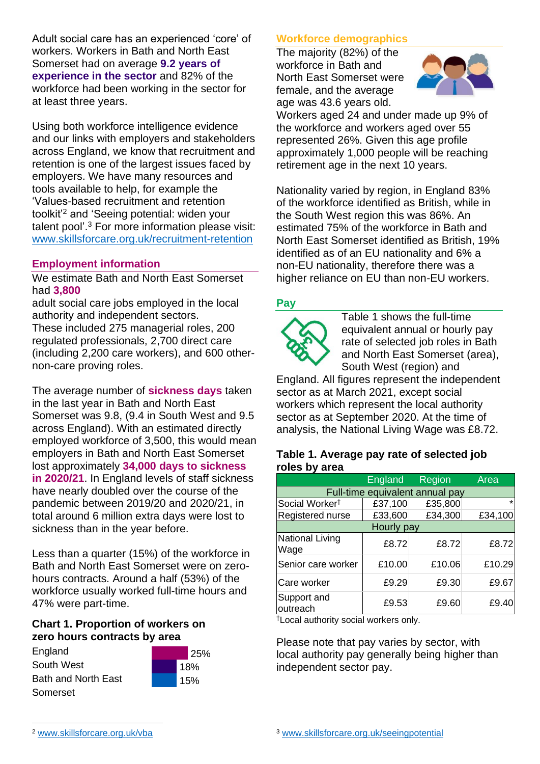Adult social care has an experienced 'core' of workers. Workers in Bath and North East Somerset had on average **9.2 years of experience in the sector** and 82% of the workforce had been working in the sector for at least three years.

Using both workforce intelligence evidence and our links with employers and stakeholders across England, we know that recruitment and retention is one of the largest issues faced by employers. We have many resources and tools available to help, for example the 'Values-based recruitment and retention toolkit'<sup>2</sup> and 'Seeing potential: widen your talent pool'. <sup>3</sup> For more information please visit: [www.skillsforcare.org.uk/recruitment-retention](http://www.skillsforcare.org.uk/recruitment-retention)

#### **Employment information**

We estimate Bath and North East Somerset had **3,800**

adult social care jobs employed in the local authority and independent sectors. These included 275 managerial roles, 200 regulated professionals, 2,700 direct care (including 2,200 care workers), and 600 othernon-care proving roles.

The average number of **sickness days** taken in the last year in Bath and North East Somerset was 9.8, (9.4 in South West and 9.5 across England). With an estimated directly employed workforce of 3,500, this would mean employers in Bath and North East Somerset lost approximately **34,000 days to sickness in 2020/21**. In England levels of staff sickness have nearly doubled over the course of the pandemic between 2019/20 and 2020/21, in total around 6 million extra days were lost to sickness than in the year before.

Less than a quarter (15%) of the workforce in Bath and North East Somerset were on zerohours contracts. Around a half (53%) of the workforce usually worked full-time hours and 47% were part-time.

#### **Chart 1. Proportion of workers on zero hours contracts by area**





#### **Workforce demographics**

The majority (82%) of the workforce in Bath and North East Somerset were female, and the average age was 43.6 years old.



Workers aged 24 and under made up 9% of the workforce and workers aged over 55 represented 26%. Given this age profile approximately 1,000 people will be reaching retirement age in the next 10 years.

Nationality varied by region, in England 83% of the workforce identified as British, while in the South West region this was 86%. An estimated 75% of the workforce in Bath and North East Somerset identified as British, 19% identified as of an EU nationality and 6% a non-EU nationality, therefore there was a higher reliance on EU than non-EU workers.

#### **Pay**



Table 1 shows the full-time equivalent annual or hourly pay rate of selected job roles in Bath and North East Somerset (area), South West (region) and

England. All figures represent the independent sector as at March 2021, except social workers which represent the local authority sector as at September 2020. At the time of analysis, the National Living Wage was £8.72.

#### **Table 1. Average pay rate of selected job roles by area**

|                                 | England | <b>Region</b> | Area    |
|---------------------------------|---------|---------------|---------|
| Full-time equivalent annual pay |         |               |         |
| Social Worker <sup>t</sup>      | £37,100 | £35,800       | $\star$ |
| Registered nurse                | £33,600 | £34,300       | £34,100 |
| Hourly pay                      |         |               |         |
| National Living<br>Wage         | £8.72   | £8.72         | £8.72   |
| Senior care worker              | £10.00  | £10.06        | £10.29  |
| Care worker                     | £9.29   | £9.30         | £9.67   |
| Support and<br>outreach         | £9.53   | £9.60         | £9.40   |

†Local authority social workers only.

Please note that pay varies by sector, with local authority pay generally being higher than independent sector pay.

<sup>2</sup> [www.skillsforcare.org.uk/vba](http://www.skillsforcare.org.uk/vba)